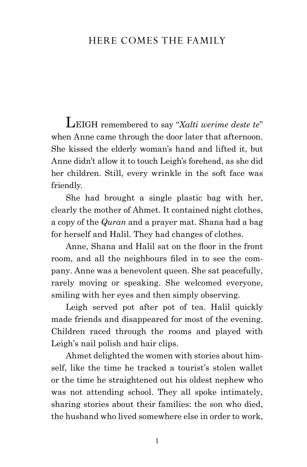## here comes the family

LEIGH remembered to say "Xalti werime deste te" when Anne came through the door later that afternoon. She kissed the elderly woman's hand and lifted it, but Anne didn't allow it to touch Leigh's forehead, as she did her children. Still, every wrinkle in the soft face was friendly.

She had brought a single plastic bag with her, clearly the mother of Ahmet. It contained night clothes, a copy of the *Quran* and a prayer mat. Shana had a bag for herself and Halil. They had changes of clothes.

Anne, Shana and Halil sat on the floor in the front room, and all the neighbours filed in to see the company. Anne was a benevolent queen. She sat peacefully, rarely moving or speaking. She welcomed everyone, smiling with her eyes and then simply observing.

Leigh served pot after pot of tea. Halil quickly made friends and disappeared for most of the evening. Children raced through the rooms and played with Leigh's nail polish and hair clips.

Ahmet delighted the women with stories about himself, like the time he tracked a tourist's stolen wallet or the time he straightened out his oldest nephew who was not attending school. They all spoke intimately, sharing stories about their families: the son who died, the husband who lived somewhere else in order to work,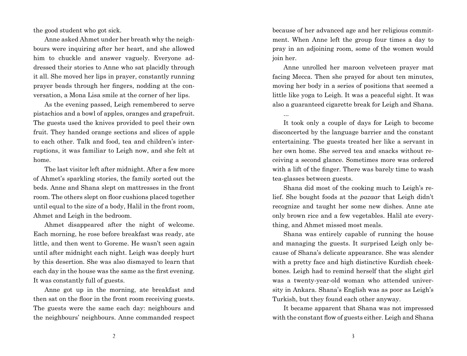the good student who got sick.

Anne asked Ahmet under her breath why the neighbours were inquiring after her heart, and she allowed him to chuckle and answer vaguely. Everyone addressed their stories to Anne who sat placidly through it all. She moved her lips in prayer, constantly running prayer beads through her fingers, nodding at the conversation, a Mona Lisa smile at the corner of her lips.

As the evening passed, Leigh remembered to serve pistachios and a bowl of apples, oranges and grapefruit. The guests used the knives provided to peel their own fruit. They handed orange sections and slices of apple to each other. Talk and food, tea and children's interruptions, it was familiar to Leigh now, and she felt at home.

The last visitor left after midnight. After a few more of Ahmet's sparkling stories, the family sorted out the beds. Anne and Shana slept on mattresses in the front room. The others slept on floor cushions placed together until equal to the size of a body, Halil in the front room, Ahmet and Leigh in the bedroom.

Ahmet disappeared after the night of welcome. Each morning, he rose before breakfast was ready, ate little, and then went to Goreme. He wasn't seen again until after midnight each night. Leigh was deeply hurt by this desertion. She was also dismayed to learn that each day in the house was the same as the first evening. It was constantly full of guests.

Anne got up in the morning, ate breakfast and then sat on the floor in the front room receiving guests. The guests were the same each day: neighbours and the neighbours' neighbours. Anne commanded respect

because of her advanced age and her religious commitment. When Anne left the group four times a day to pray in an adjoining room, some of the women would join her.

Anne unrolled her maroon velveteen prayer mat facing Mecca. Then she prayed for about ten minutes, moving her body in a series of positions that seemed a little like yoga to Leigh. It was a peaceful sight. It was also a guaranteed cigarette break for Leigh and Shana.

...

It took only a couple of days for Leigh to become disconcerted by the language barrier and the constant entertaining. The guests treated her like a servant in her own home. She served tea and snacks without receiving a second glance. Sometimes more was ordered with a lift of the finger. There was barely time to wash tea-glasses between guests.

Shana did most of the cooking much to Leigh's relief. She bought foods at the *pazaar* that Leigh didn't recognize and taught her some new dishes. Anne ate only brown rice and a few vegetables. Halil ate everything, and Ahmet missed most meals.

Shana was entirely capable of running the house and managing the guests. It surprised Leigh only because of Shana's delicate appearance. She was slender with a pretty face and high distinctive Kurdish cheekbones. Leigh had to remind herself that the slight girl was a twenty-year-old woman who attended university in Ankara. Shana's English was as poor as Leigh's Turkish, but they found each other anyway.

It became apparent that Shana was not impressed with the constant flow of guests either. Leigh and Shana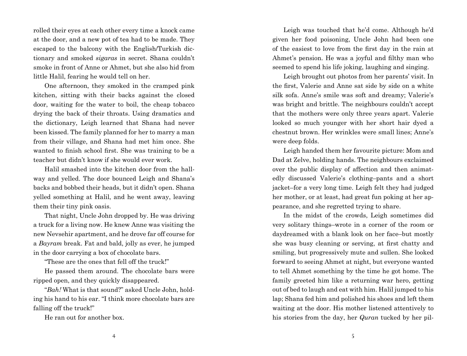rolled their eyes at each other every time a knock came at the door, and a new pot of tea had to be made. They escaped to the balcony with the English/Turkish dictionary and smoked *sigaras* in secret. Shana couldn't smoke in front of Anne or Ahmet, but she also hid from little Halil, fearing he would tell on her.

One afternoon, they smoked in the cramped pink kitchen, sitting with their backs against the closed door, waiting for the water to boil, the cheap tobacco drying the back of their throats. Using dramatics and the dictionary, Leigh learned that Shana had never been kissed. The family planned for her to marry a man from their village, and Shana had met him once. She wanted to finish school first. She was training to be a teacher but didn't know if she would ever work.

Halil smashed into the kitchen door from the hallway and yelled. The door bounced Leigh and Shana's backs and bobbed their heads, but it didn't open. Shana yelled something at Halil, and he went away, leaving them their tiny pink oasis.

That night, Uncle John dropped by. He was driving a truck for a living now. He knew Anne was visiting the new Nevsehir apartment, and he drove far off course for a *Bayram* break. Fat and bald, jolly as ever, he jumped in the door carrying a box of chocolate bars.

"These are the ones that fell off the truck!"

He passed them around. The chocolate bars were ripped open, and they quickly disappeared.

"*Bah!* What is that sound?" asked Uncle John, holding his hand to his ear. "I think more chocolate bars are falling off the truck!"

He ran out for another box.

Leigh was touched that he'd come. Although he'd given her food poisoning, Uncle John had been one of the easiest to love from the first day in the rain at Ahmet's pension. He was a joyful and filthy man who seemed to spend his life joking, laughing and singing.

Leigh brought out photos from her parents' visit. In the first, Valerie and Anne sat side by side on a white silk sofa. Anne's smile was soft and dreamy; Valerie's was bright and brittle. The neighbours couldn't accept that the mothers were only three years apart. Valerie looked so much younger with her short hair dyed a chestnut brown. Her wrinkles were small lines; Anne's were deep folds.

Leigh handed them her favourite picture: Mom and Dad at Zelve, holding hands. The neighbours exclaimed over the public display of affection and then animatedly discussed Valerie's clothing–pants and a short jacket–for a very long time. Leigh felt they had judged her mother, or at least, had great fun poking at her appearance, and she regretted trying to share.

In the midst of the crowds, Leigh sometimes did very solitary things–wrote in a corner of the room or daydreamed with a blank look on her face–but mostly she was busy cleaning or serving, at first chatty and smiling, but progressively mute and sullen. She looked forward to seeing Ahmet at night, but everyone wanted to tell Ahmet something by the time he got home. The family greeted him like a returning war hero, getting out of bed to laugh and eat with him. Halil jumped to his lap; Shana fed him and polished his shoes and left them waiting at the door. His mother listened attentively to his stories from the day, her *Quran* tucked by her pil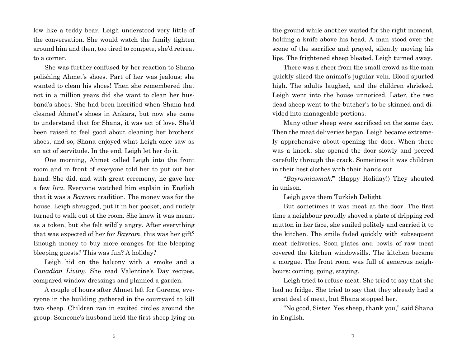low like a teddy bear. Leigh understood very little of the conversation. She would watch the family tighten around him and then, too tired to compete, she'd retreat to a corner.

She was further confused by her reaction to Shana polishing Ahmet's shoes. Part of her was jealous; she wanted to clean his shoes! Then she remembered that not in a million years did she want to clean her husband's shoes. She had been horrified when Shana had cleaned Ahmet's shoes in Ankara, but now she came to understand that for Shana, it was act of love. She'd been raised to feel good about cleaning her brothers' shoes, and so, Shana enjoyed what Leigh once saw as an act of servitude. In the end, Leigh let her do it.

One morning, Ahmet called Leigh into the front room and in front of everyone told her to put out her hand. She did, and with great ceremony, he gave her a few *lira*. Everyone watched him explain in English that it was a *Bayram* tradition. The money was for the house. Leigh shrugged, put it in her pocket, and rudely turned to walk out of the room. She knew it was meant as a token, but she felt wildly angry. After everything that was expected of her for *Bayram*, this was her gift? Enough money to buy more oranges for the bleeping bleeping guests? This was fun? A holiday?

Leigh hid on the balcony with a smoke and a *Canadian Living*. She read Valentine's Day recipes, compared window dressings and planned a garden.

A couple of hours after Ahmet left for Goreme, everyone in the building gathered in the courtyard to kill two sheep. Children ran in excited circles around the group. Someone's husband held the first sheep lying on the ground while another waited for the right moment, holding a knife above his head. A man stood over the scene of the sacrifice and prayed, silently moving his lips. The frightened sheep bleated. Leigh turned away.

There was a cheer from the small crowd as the man quickly sliced the animal's jugular vein. Blood spurted high. The adults laughed, and the children shrieked. Leigh went into the house unnoticed. Later, the two dead sheep went to the butcher's to be skinned and divided into manageable portions.

Many other sheep were sacrificed on the same day. Then the meat deliveries began. Leigh became extremely apprehensive about opening the door. When there was a knock, she opened the door slowly and peered carefully through the crack. Sometimes it was children in their best clothes with their hands out.

"*Bayramiasmak!*" (Happy Holiday!) They shouted in unison.

Leigh gave them Turkish Delight.

But sometimes it was meat at the door. The first time a neighbour proudly shoved a plate of dripping red mutton in her face, she smiled politely and carried it to the kitchen. The smile faded quickly with subsequent meat deliveries. Soon plates and bowls of raw meat covered the kitchen windowsills. The kitchen became a morgue. The front room was full of generous neighbours: coming, going, staying.

Leigh tried to refuse meat. She tried to say that she had no fridge. She tried to say that they already had a great deal of meat, but Shana stopped her.

"No good, Sister. Yes sheep, thank you," said Shana in English.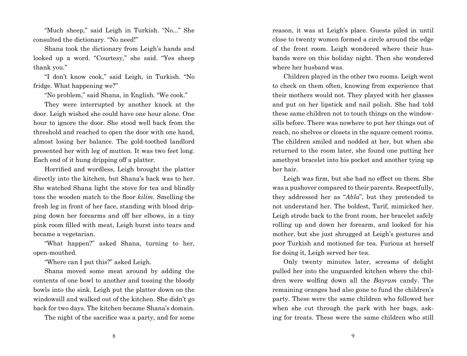"Much sheep," said Leigh in Turkish. "No..." She consulted the dictionary. "No need!"

Shana took the dictionary from Leigh's hands and looked up a word. "Courtesy," she said. "Yes sheep thank you."

"I don't know cook," said Leigh, in Turkish. "No fridge. What happening we?"

"No problem," said Shana, in English. "We cook."

They were interrupted by another knock at the door. Leigh wished she could have one hour alone. One hour to ignore the door. She stood well back from the threshold and reached to open the door with one hand, almost losing her balance. The gold-toothed landlord presented her with leg of mutton. It was two feet long. Each end of it hung dripping off a platter.

Horrified and wordless, Leigh brought the platter directly into the kitchen, but Shana's back was to her. She watched Shana light the stove for tea and blindly toss the wooden match to the floor *kilim*. Smelling the fresh leg in front of her face, standing with blood dripping down her forearms and off her elbows, in a tiny pink room filled with meat, Leigh burst into tears and became a vegetarian.

"What happen?" asked Shana, turning to her, open-mouthed.

"Where can I put this?" asked Leigh.

Shana moved some meat around by adding the contents of one bowl to another and tossing the bloody bowls into the sink. Leigh put the platter down on the windowsill and walked out of the kitchen. She didn't go back for two days. The kitchen became Shana's domain.

The night of the sacrifice was a party, and for some

reason, it was at Leigh's place. Guests piled in until close to twenty women formed a circle around the edge of the front room. Leigh wondered where their husbands were on this holiday night. Then she wondered where her husband was.

Children played in the other two rooms. Leigh went to check on them often, knowing from experience that their mothers would not. They played with her glasses and put on her lipstick and nail polish. She had told these same children not to touch things on the windowsills before. There was nowhere to put her things out of reach, no shelves or closets in the square cement rooms. The children smiled and nodded at her, but when she returned to the room later, she found one putting her amethyst bracelet into his pocket and another tying up her hair.

Leigh was firm, but she had no effect on them. She was a pushover compared to their parents. Respectfully, they addressed her as "*Abla*", but they pretended to not understand her. The boldest, Tarif, mimicked her. Leigh strode back to the front room, her bracelet safely rolling up and down her forearm, and looked for his mother, but she just shrugged at Leigh's gestures and poor Turkish and motioned for tea. Furious at herself for doing it, Leigh served her tea.

Only twenty minutes later, screams of delight pulled her into the unguarded kitchen where the children were wolfing down all the *Bayram* candy. The remaining oranges had also gone to fund the children's party. These were the same children who followed her when she cut through the park with her bags, asking for treats. These were the same children who still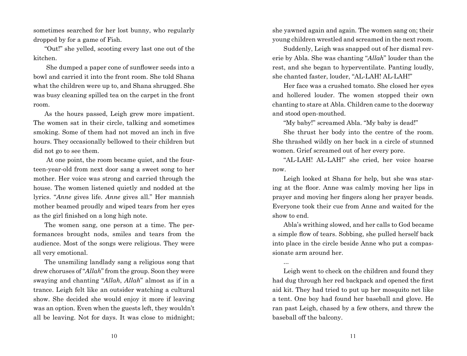sometimes searched for her lost bunny, who regularly dropped by for a game of Fish.

"Out!" she yelled, scooting every last one out of the kitchen.

 She dumped a paper cone of sunflower seeds into a bowl and carried it into the front room. She told Shana what the children were up to, and Shana shrugged. She was busy cleaning spilled tea on the carpet in the front room.

As the hours passed, Leigh grew more impatient. The women sat in their circle, talking and sometimes smoking. Some of them had not moved an inch in five hours. They occasionally bellowed to their children but did not go to see them.

 At one point, the room became quiet, and the fourteen-year-old from next door sang a sweet song to her mother. Her voice was strong and carried through the house. The women listened quietly and nodded at the lyrics. "*Anne* gives life. *Anne* gives all." Her mannish mother beamed proudly and wiped tears from her eyes as the girl finished on a long high note.

The women sang, one person at a time. The performances brought nods, smiles and tears from the audience. Most of the songs were religious. They were all very emotional.

The unsmiling landlady sang a religious song that drew choruses of "*Allah*" from the group. Soon they were swaying and chanting "*Allah*, *Allah*" almost as if in a trance. Leigh felt like an outsider watching a cultural show. She decided she would enjoy it more if leaving was an option. Even when the guests left, they wouldn't all be leaving. Not for days. It was close to midnight;

she yawned again and again. The women sang on; their young children wrestled and screamed in the next room.

Suddenly, Leigh was snapped out of her dismal reverie by Abla. She was chanting "*Allah*" louder than the rest, and she began to hyperventilate. Panting loudly, she chanted faster, louder, "AL-LAH! AL-LAH!"

Her face was a crushed tomato. She closed her eyes and hollered louder. The women stopped their own chanting to stare at Abla. Children came to the doorway and stood open-mouthed.

"My baby!" screamed Abla. "My baby is dead!"

She thrust her body into the centre of the room. She thrashed wildly on her back in a circle of stunned women. Grief screamed out of her every pore.

"AL-LAH! AL-LAH!" she cried, her voice hoarse now.

Leigh looked at Shana for help, but she was staring at the floor. Anne was calmly moving her lips in prayer and moving her fingers along her prayer beads. Everyone took their cue from Anne and waited for the show to end.

Abla's writhing slowed, and her calls to God became a simple flow of tears. Sobbing, she pulled herself back into place in the circle beside Anne who put a compassionate arm around her.

...

Leigh went to check on the children and found they had dug through her red backpack and opened the first aid kit. They had tried to put up her mosquito net like a tent. One boy had found her baseball and glove. He ran past Leigh, chased by a few others, and threw the baseball off the balcony.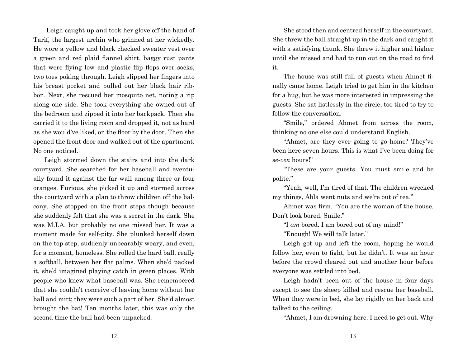Leigh caught up and took her glove off the hand of Tarif, the largest urchin who grinned at her wickedly. He wore a yellow and black checked sweater vest over a green and red plaid flannel shirt, baggy rust pants that were flying low and plastic flip flops over socks, two toes poking through. Leigh slipped her fingers into his breast pocket and pulled out her black hair ribbon. Next, she rescued her mosquito net, noting a rip along one side. She took everything she owned out of the bedroom and zipped it into her backpack. Then she carried it to the living room and dropped it, not as hard as she would've liked, on the floor by the door. Then she opened the front door and walked out of the apartment. No one noticed.

Leigh stormed down the stairs and into the dark courtyard. She searched for her baseball and eventually found it against the far wall among three or four oranges. Furious, she picked it up and stormed across the courtyard with a plan to throw children off the balcony. She stopped on the front steps though because she suddenly felt that she was a secret in the dark. She was M.I.A. but probably no one missed her. It was a moment made for self-pity. She plunked herself down on the top step, suddenly unbearably weary, and even, for a moment, homeless. She rolled the hard ball, really a softball, between her flat palms. When she'd packed it, she'd imagined playing catch in green places. With people who knew what baseball was. She remembered that she couldn't conceive of leaving home without her ball and mitt; they were such a part of her. She'd almost brought the bat! Ten months later, this was only the second time the ball had been unpacked.

She stood then and centred herself in the courtyard. She threw the ball straight up in the dark and caught it with a satisfying thunk. She threw it higher and higher until she missed and had to run out on the road to find it.

The house was still full of guests when Ahmet finally came home. Leigh tried to get him in the kitchen for a hug, but he was more interested in impressing the guests. She sat listlessly in the circle, too tired to try to follow the conversation.

"Smile," ordered Ahmet from across the room, thinking no one else could understand English.

"Ahmet, are they ever going to go home? They've been here seven hours. This is what I've been doing for *se-ven* hours!"

"These are your guests. You must smile and be polite."

"Yeah, well, I'm tired of that. The children wrecked my things, Abla went nuts and we're out of tea."

Ahmet was firm. "You are the woman of the house. Don't look bored. Smile."

"I *am* bored. I am bored out of my mind!"

"Enough! We will talk later."

Leigh got up and left the room, hoping he would follow her, even to fight, but he didn't. It was an hour before the crowd cleared out and another hour before everyone was settled into bed.

Leigh hadn't been out of the house in four days except to see the sheep killed and rescue her baseball. When they were in bed, she lay rigidly on her back and talked to the ceiling.

"Ahmet, I am drowning here. I need to get out. Why